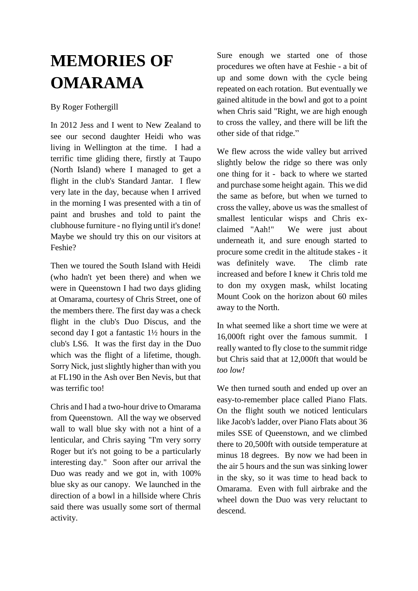## **MEMORIES OF OMARAMA**

## By Roger Fothergill

In 2012 Jess and I went to New Zealand to see our second daughter Heidi who was living in Wellington at the time. I had a terrific time gliding there, firstly at Taupo (North Island) where I managed to get a flight in the club's Standard Jantar. I flew very late in the day, because when I arrived in the morning I was presented with a tin of paint and brushes and told to paint the clubhouse furniture - no flying until it's done! Maybe we should try this on our visitors at Feshie?

Then we toured the South Island with Heidi (who hadn't yet been there) and when we were in Queenstown I had two days gliding at Omarama, courtesy of Chris Street, one of the members there. The first day was a check flight in the club's Duo Discus, and the second day I got a fantastic 1½ hours in the club's LS6. It was the first day in the Duo which was the flight of a lifetime, though. Sorry Nick, just slightly higher than with you at FL190 in the Ash over Ben Nevis, but that was terrific too!

Chris and I had a two-hour drive to Omarama from Queenstown. All the way we observed wall to wall blue sky with not a hint of a lenticular, and Chris saying "I'm very sorry Roger but it's not going to be a particularly interesting day." Soon after our arrival the Duo was ready and we got in, with 100% blue sky as our canopy. We launched in the direction of a bowl in a hillside where Chris said there was usually some sort of thermal activity.

Sure enough we started one of those procedures we often have at Feshie - a bit of up and some down with the cycle being repeated on each rotation. But eventually we gained altitude in the bowl and got to a point when Chris said "Right, we are high enough to cross the valley, and there will be lift the other side of that ridge."

We flew across the wide valley but arrived slightly below the ridge so there was only one thing for it - back to where we started and purchase some height again. This we did the same as before, but when we turned to cross the valley, above us was the smallest of smallest lenticular wisps and Chris exclaimed "Aah!" We were just about underneath it, and sure enough started to procure some credit in the altitude stakes - it was definitely wave. The climb rate increased and before I knew it Chris told me to don my oxygen mask, whilst locating Mount Cook on the horizon about 60 miles away to the North.

In what seemed like a short time we were at 16,000ft right over the famous summit. I really wanted to fly close to the summit ridge but Chris said that at 12,000ft that would be *too low!*

We then turned south and ended up over an easy-to-remember place called Piano Flats. On the flight south we noticed lenticulars like Jacob's ladder, over Piano Flats about 36 miles SSE of Queenstown, and we climbed there to 20,500ft with outside temperature at minus 18 degrees. By now we had been in the air 5 hours and the sun was sinking lower in the sky, so it was time to head back to Omarama. Even with full airbrake and the wheel down the Duo was very reluctant to descend.